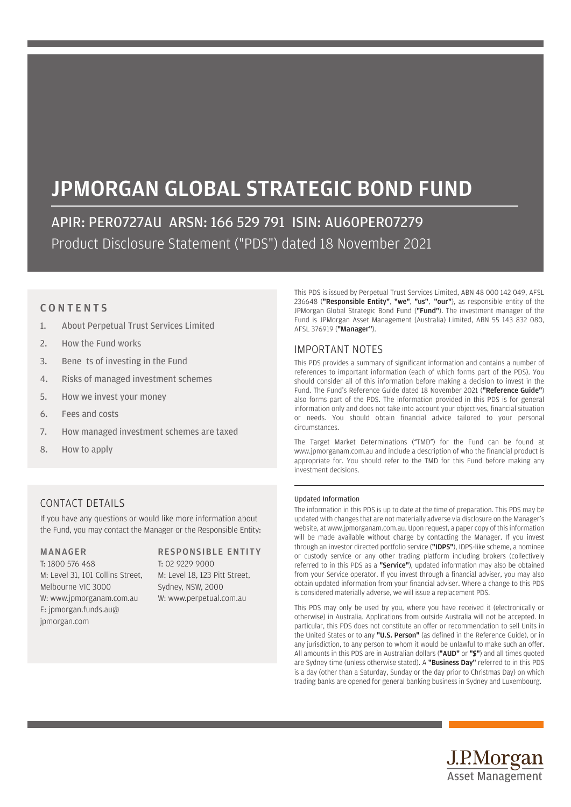# JPMORGAN GLOBAL STRATEGIC BOND FUND

APIR: PER0727AU ARSN: 166 529 791 ISIN: AU60PER07279 Product Disclosure Statement ("PDS") dated 18 November 2021

# **CONTENTS**

- 1. About Perpetual Trust Services Limited
- 2. How the Fund works
- 3. Bene ts of investing in the Fund
- 4. Risks of managed investment schemes
- 5. How we invest your money
- 6. Fees and costs
- 7. How managed investment schemes are taxed
- 8. How to apply

This PDS is issued by Perpetual Trust Services Limited, ABN 48 000 142 049, AFSL 236648 ("Responsible Entity", "we", "us", "our"), as responsible entity of the JPMorgan Global Strategic Bond Fund ("Fund"). The investment manager of the Fund is JPMorgan Asset Management (Australia) Limited, ABN 55 143 832 080, AFSL 376919 ("Manager").

# IMPORTANT NOTES

This PDS provides a summary of significant information and contains a number of references to important information (each of which forms part of the PDS). You should consider all of this information before making a decision to invest in the Fund. The Fund's Reference Guide dated 18 November 2021 ("Reference Guide") also forms part of the PDS. The information provided in this PDS is for general information only and does not take into account your objectives, financial situation or needs. You should obtain financial advice tailored to your personal circumstances.

The Target Market Determinations ("TMD") for the Fund can be found at www.jpmorganam.com.au and include a description of who the financial product is appropriate for. You should refer to the TMD for this Fund before making any investment decisions.

# Updated Information

The information in this PDS is up to date at the time of preparation. This PDS may be updated with changes that are not materially adverse via disclosure on the Manager's website, at www.jpmorganam.com.au. Upon request, a paper copy of this information will be made available without charge by contacting the Manager. If you invest through an investor directed portfolio service ("IDPS"), IDPS-like scheme, a nominee or custody service or any other trading platform including brokers (collectively referred to in this PDS as a "Service"), updated information may also be obtained from your Service operator. If you invest through a financial adviser, you may also obtain updated information from your financial adviser. Where a change to this PDS is considered materially adverse, we will issue a replacement PDS.

This PDS may only be used by you, where you have received it (electronically or otherwise) in Australia. Applications from outside Australia will not be accepted. In particular, this PDS does not constitute an offer or recommendation to sell Units in the United States or to any "U.S. Person" (as defined in the Reference Guide), or in any jurisdiction, to any person to whom it would be unlawful to make such an offer. All amounts in this PDS are in Australian dollars ("AUD" or "\$") and all times quoted are Sydney time (unless otherwise stated). A "Business Day" referred to in this PDS is a day (other than a Saturday, Sunday or the day prior to Christmas Day) on which trading banks are opened for general banking business in Sydney and Luxembourg.

# CONTACT DETAILS

If you have any questions or would like more information about the Fund, you may contact the Manager or the Responsible Entity:

# MANAGER

T: 1800 576 468 M: Level 31, 101 Collins Street, Melbourne VIC 3000 W: www.jpmorganam.com.au E: jpmorgan.funds.au@ jpmorgan.com

# RESPONSIBLE ENTITY T: 02 9229 9000

M: Level 18, 123 Pitt Street, Sydney, NSW, 2000 W: www.perpetual.com.au

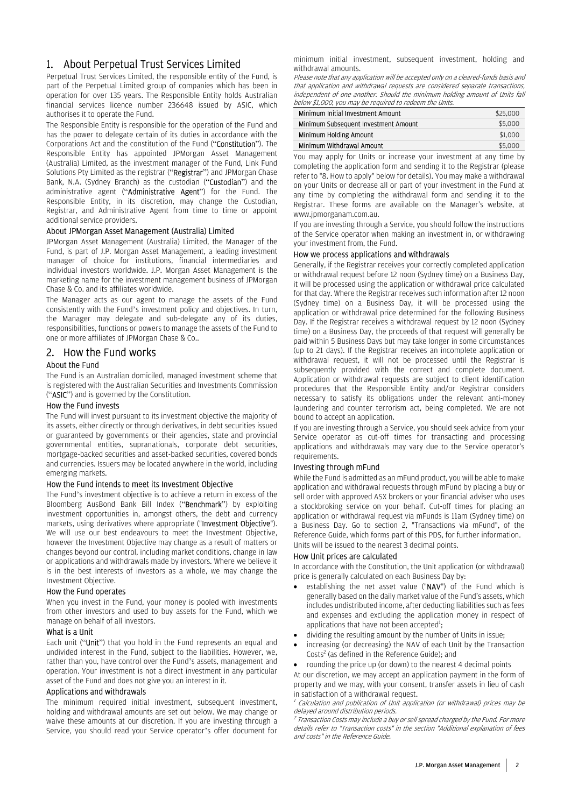# 1. About Perpetual Trust Services Limited

Perpetual Trust Services Limited, the responsible entity of the Fund, is part of the Perpetual Limited group of companies which has been in operation for over 135 years. The Responsible Entity holds Australian financial services licence number 236648 issued by ASIC, which authorises it to operate the Fund.

The Responsible Entity is responsible for the operation of the Fund and has the power to delegate certain of its duties in accordance with the Corporations Act and the constitution of the Fund ("Constitution"). The Responsible Entity has appointed JPMorgan Asset Management (Australia) Limited, as the investment manager of the Fund, Link Fund Solutions Pty Limited as the registrar ("Registrar") and JPMorgan Chase Bank, N.A. (Sydney Branch) as the custodian ("Custodian") and the administrative agent ("Administrative Agent") for the Fund. The Responsible Entity, in its discretion, may change the Custodian, Registrar, and Administrative Agent from time to time or appoint additional service providers.

# About JPMorgan Asset Management (Australia) Limited

JPMorgan Asset Management (Australia) Limited, the Manager of the Fund, is part of J.P. Morgan Asset Management, a leading investment manager of choice for institutions, financial intermediaries and individual investors worldwide. J.P. Morgan Asset Management is the marketing name for the investment management business of JPMorgan Chase & Co. and its affiliates worldwide.

The Manager acts as our agent to manage the assets of the Fund consistently with the Fund's investment policy and objectives. In turn, the Manager may delegate and sub-delegate any of its duties, responsibilities, functions or powers to manage the assets of the Fund to one or more affiliates of JPMorgan Chase & Co..

# 2. How the Fund works

# About the Fund

The Fund is an Australian domiciled, managed investment scheme that is registered with the Australian Securities and Investments Commission ("ASIC") and is governed by the Constitution.

## How the Fund invests

The Fund will invest pursuant to its investment objective the majority of its assets, either directly or through derivatives, in debt securities issued or guaranteed by governments or their agencies, state and provincial governmental entities, supranationals, corporate debt securities, mortgage-backed securities and asset-backed securities, covered bonds and currencies. Issuers may be located anywhere in the world, including emerging markets.

## How the Fund intends to meet its Investment Objective

The Fund's investment objective is to achieve a return in excess of the Bloomberg AusBond Bank Bill Index ("Benchmark") by exploiting investment opportunities in, amongst others, the debt and currency markets, using derivatives where appropriate ("Investment Objective"). We will use our best endeavours to meet the Investment Objective. however the Investment Objective may change as a result of matters or changes beyond our control, including market conditions, change in law or applications and withdrawals made by investors. Where we believe it is in the best interests of investors as a whole, we may change the Investment Objective.

# How the Fund operates

When you invest in the Fund, your money is pooled with investments from other investors and used to buy assets for the Fund, which we manage on behalf of all investors.

#### What is a Unit

Each unit ("Unit") that you hold in the Fund represents an equal and undivided interest in the Fund, subject to the liabilities. However, we, rather than you, have control over the Fund's assets, management and operation. Your investment is not a direct investment in any particular asset of the Fund and does not give you an interest in it.

# Applications and withdrawals

The minimum required initial investment, subsequent investment, holding and withdrawal amounts are set out below. We may change or waive these amounts at our discretion. If you are investing through a Service, you should read your Service operator's offer document for minimum initial investment, subsequent investment, holding and withdrawal amounts.

Please note that any application will be accepted only on a cleared-funds basis and that application and withdrawal requests are considered separate transactions, independent of one another. Should the minimum holding amount of Units fall below \$1,000, you may be required to redeem the Units.

| Minimum Initial Investment Amount    | \$25,000 |
|--------------------------------------|----------|
| Minimum Subsequent Investment Amount | \$5,000  |
| Minimum Holding Amount               | \$1,000  |
| Minimum Withdrawal Amount            | \$5,000  |

You may apply for Units or increase your investment at any time by completing the application form and sending it to the Registrar (please refer to "8. How to apply" below for details). You may make a withdrawal on your Units or decrease all or part of your investment in the Fund at any time by completing the withdrawal form and sending it to the Registrar. These forms are available on the Manager's website, at www.jpmorganam.com.au.

If you are investing through a Service, you should follow the instructions of the Service operator when making an investment in, or withdrawing your investment from, the Fund.

#### How we process applications and withdrawals

Generally, if the Registrar receives your correctly completed application or withdrawal request before 12 noon (Sydney time) on a Business Day, it will be processed using the application or withdrawal price calculated for that day. Where the Registrar receives such information after 12 noon (Sydney time) on a Business Day, it will be processed using the application or withdrawal price determined for the following Business Day. If the Registrar receives a withdrawal request by 12 noon (Sydney time) on a Business Day, the proceeds of that request will generally be paid within 5 Business Days but may take longer in some circumstances (up to 21 days). If the Registrar receives an incomplete application or withdrawal request, it will not be processed until the Registrar is subsequently provided with the correct and complete document. Application or withdrawal requests are subject to client identification procedures that the Responsible Entity and/or Registrar considers necessary to satisfy its obligations under the relevant anti-money laundering and counter terrorism act, being completed. We are not bound to accept an application.

If you are investing through a Service, you should seek advice from your Service operator as cut-off times for transacting and processing applications and withdrawals may vary due to the Service operator's requirements.

# Investing through mFund

While the Fund is admitted as an mFund product, you will be able to make application and withdrawal requests through mFund by placing a buy or sell order with approved ASX brokers or your financial adviser who uses a stockbroking service on your behalf. Cut-off times for placing an application or withdrawal request via mFunds is 11am (Sydney time) on a Business Day. Go to section 2, "Transactions via mFund", of the Reference Guide, which forms part of this PDS, for further information. Units will be issued to the nearest 3 decimal points.

## How Unit prices are calculated

In accordance with the Constitution, the Unit application (or withdrawal) price is generally calculated on each Business Day by:

- establishing the net asset value ("NAV") of the Fund which is generally based on the daily market value of the Fund's assets, which includes undistributed income, after deducting liabilities such as fees and expenses and excluding the application money in respect of applications that have not been accepted<sup>1</sup>;
- dividing the resulting amount by the number of Units in issue;
- increasing (or decreasing) the NAV of each Unit by the Transaction Costs<sup>2</sup> (as defined in the Reference Guide); and
- rounding the price up (or down) to the nearest 4 decimal points

At our discretion, we may accept an application payment in the form of property and we may, with your consent, transfer assets in lieu of cash in satisfaction of a withdrawal request.

<sup>1</sup> Calculation and publication of Unit application (or withdrawal) prices may be delayed around distribution periods.

<sup>2</sup> Transaction Costs may include a buy or sell spread charged by the Fund. For more details refer to "Transaction costs" in the section "Additional explanation of fees and costs" in the Reference Guide.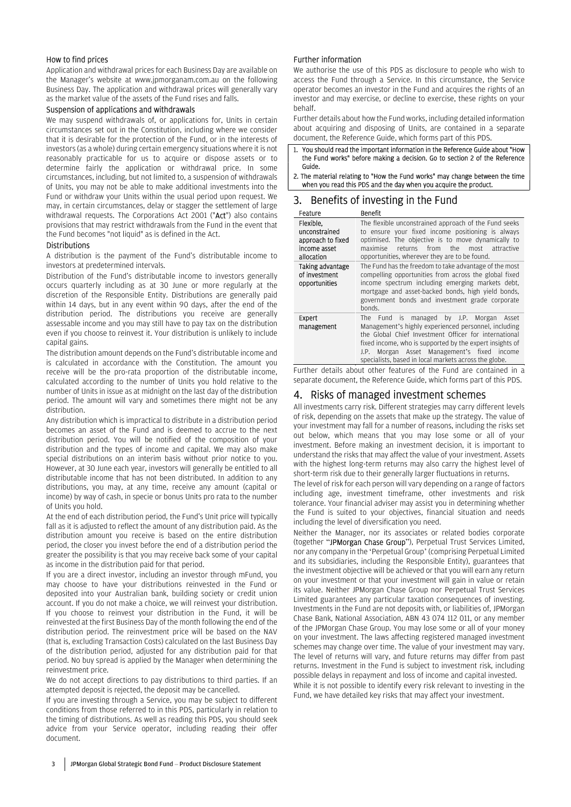# How to find prices

Application and withdrawal prices for each Business Day are available on the Manager's website at www.jpmorganam.com.au on the following Business Day. The application and withdrawal prices will generally vary as the market value of the assets of the Fund rises and falls.

## Suspension of applications and withdrawals

We may suspend withdrawals of, or applications for, Units in certain circumstances set out in the Constitution, including where we consider that it is desirable for the protection of the Fund, or in the interests of investors (as a whole) during certain emergency situations where it is not reasonably practicable for us to acquire or dispose assets or to determine fairly the application or withdrawal price. In some circumstances, including, but not limited to, a suspension of withdrawals of Units, you may not be able to make additional investments into the Fund or withdraw your Units within the usual period upon request. We may, in certain circumstances, delay or stagger the settlement of large withdrawal requests. The Corporations Act 2001 ("Act") also contains provisions that may restrict withdrawals from the Fund in the event that the Fund becomes "not liquid" as is defined in the Act.

# Distributions

A distribution is the payment of the Fund's distributable income to investors at predetermined intervals.

Distribution of the Fund's distributable income to investors generally occurs quarterly including as at 30 June or more regularly at the discretion of the Responsible Entity. Distributions are generally paid within 14 days, but in any event within 90 days, after the end of the distribution period. The distributions you receive are generally assessable income and you may still have to pay tax on the distribution even if you choose to reinvest it. Your distribution is unlikely to include capital gains.

The distribution amount depends on the Fund's distributable income and is calculated in accordance with the Constitution. The amount you receive will be the pro-rata proportion of the distributable income, calculated according to the number of Units you hold relative to the number of Units in issue as at midnight on the last day of the distribution period. The amount will vary and sometimes there might not be any distribution.

Any distribution which is impractical to distribute in a distribution period becomes an asset of the Fund and is deemed to accrue to the next distribution period. You will be notified of the composition of your distribution and the types of income and capital. We may also make special distributions on an interim basis without prior notice to you. However, at 30 June each year, investors will generally be entitled to all distributable income that has not been distributed. In addition to any distributions, you may, at any time, receive any amount (capital or income) by way of cash, in specie or bonus Units pro rata to the number of Units you hold.

At the end of each distribution period, the Fund's Unit price will typically fall as it is adjusted to reflect the amount of any distribution paid. As the distribution amount you receive is based on the entire distribution period, the closer you invest before the end of a distribution period the greater the possibility is that you may receive back some of your capital as income in the distribution paid for that period.

If you are a direct investor, including an investor through mFund, you may choose to have your distributions reinvested in the Fund or deposited into your Australian bank, building society or credit union account. If you do not make a choice, we will reinvest your distribution. If you choose to reinvest your distribution in the Fund, it will be reinvested at the first Business Day of the month following the end of the distribution period. The reinvestment price will be based on the NAV (that is, excluding Transaction Costs) calculated on the last Business Day of the distribution period, adjusted for any distribution paid for that period. No buy spread is applied by the Manager when determining the reinvestment price.

We do not accept directions to pay distributions to third parties. If an attempted deposit is rejected, the deposit may be cancelled.

If you are investing through a Service, you may be subject to different conditions from those referred to in this PDS, particularly in relation to the timing of distributions. As well as reading this PDS, you should seek advice from your Service operator, including reading their offer document.

# Further information

We authorise the use of this PDS as disclosure to people who wish to access the Fund through a Service. In this circumstance, the Service operator becomes an investor in the Fund and acquires the rights of an investor and may exercise, or decline to exercise, these rights on your behalf.

Further details about how the Fund works, including detailed information about acquiring and disposing of Units, are contained in a separate document, the Reference Guide, which forms part of this PDS.

- 1. You should read the important information in the Reference Guide about "How the Fund works" before making a decision. Go to section 2 of the Reference Guide.
- 2. The material relating to "How the Fund works" may change between the time when you read this PDS and the day when you acquire the product.

# 3. Benefits of investing in the Fund

| Feature                                                                       | <b>Benefit</b>                                                                                                                                                                                                                                                                                                                                |
|-------------------------------------------------------------------------------|-----------------------------------------------------------------------------------------------------------------------------------------------------------------------------------------------------------------------------------------------------------------------------------------------------------------------------------------------|
| Flexible.<br>unconstrained<br>approach to fixed<br>income asset<br>allocation | The flexible unconstrained approach of the Fund seeks<br>to ensure your fixed income positioning is always<br>optimised. The objective is to move dynamically to<br>returns from<br>the<br>most attractive<br>maximise<br>opportunities, wherever they are to be found.                                                                       |
| Taking advantage<br>of investment<br>opportunities                            | The Fund has the freedom to take advantage of the most<br>compelling opportunities from across the global fixed<br>income spectrum including emerging markets debt,<br>mortgage and asset-backed bonds, high yield bonds,<br>government bonds and investment grade corporate<br>bonds.                                                        |
| Expert<br>management                                                          | managed by J.P. Morgan<br>is.<br>Fund<br>Asset<br>The<br>Management's highly experienced personnel, including<br>the Global Chief Investment Officer for international<br>fixed income, who is supported by the expert insights of<br>Morgan Asset Management's fixed income<br>J.P.<br>specialists, based in local markets across the globe. |

Further details about other features of the Fund are contained in a separate document, the Reference Guide, which forms part of this PDS.

# 4. Risks of managed investment schemes

All investments carry risk. Different strategies may carry different levels of risk, depending on the assets that make up the strategy. The value of your investment may fall for a number of reasons, including the risks set out below, which means that you may lose some or all of your investment. Before making an investment decision, it is important to understand the risks that may affect the value of your investment. Assets with the highest long-term returns may also carry the highest level of short-term risk due to their generally larger fluctuations in returns.

The level of risk for each person will vary depending on a range of factors including age, investment timeframe, other investments and risk tolerance. Your financial adviser may assist you in determining whether the Fund is suited to your objectives, financial situation and needs including the level of diversification you need.

Neither the Manager, nor its associates or related bodies corporate (together "JPMorgan Chase Group"), Perpetual Trust Services Limited, nor any company in the 'Perpetual Group' (comprising Perpetual Limited and its subsidiaries, including the Responsible Entity), guarantees that the investment objective will be achieved or that you will earn any return on your investment or that your investment will gain in value or retain its value. Neither JPMorgan Chase Group nor Perpetual Trust Services Limited guarantees any particular taxation consequences of investing. Investments in the Fund are not deposits with, or liabilities of, JPMorgan Chase Bank, National Association, ABN 43 074 112 011, or any member of the JPMorgan Chase Group. You may lose some or all of your money on your investment. The laws affecting registered managed investment schemes may change over time. The value of your investment may vary. The level of returns will vary, and future returns may differ from past returns. Investment in the Fund is subject to investment risk, including possible delays in repayment and loss of income and capital invested. While it is not possible to identify every risk relevant to investing in the Fund, we have detailed key risks that may affect your investment.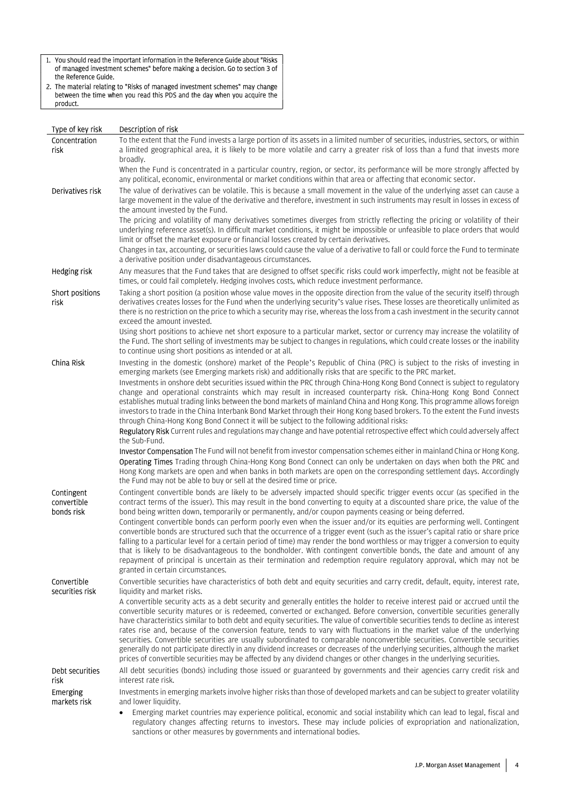1. You should read the important information in the Reference Guide about "Risks of managed investment schemes" before making a decision. Go to section 3 of the Reference Guide.

2. The material relating to "Risks of managed investment schemes" may change between the time when you read this PDS and the day when you acquire the product.

| Type of key risk                        | Description of risk                                                                                                                                                                                                                                                                                                                                                                                                                                                                                                                                                                                                                                                                                                                                                                                                                                                                                                     |
|-----------------------------------------|-------------------------------------------------------------------------------------------------------------------------------------------------------------------------------------------------------------------------------------------------------------------------------------------------------------------------------------------------------------------------------------------------------------------------------------------------------------------------------------------------------------------------------------------------------------------------------------------------------------------------------------------------------------------------------------------------------------------------------------------------------------------------------------------------------------------------------------------------------------------------------------------------------------------------|
| Concentration<br>risk                   | To the extent that the Fund invests a large portion of its assets in a limited number of securities, industries, sectors, or within<br>a limited geographical area, it is likely to be more volatile and carry a greater risk of loss than a fund that invests more<br>broadly.                                                                                                                                                                                                                                                                                                                                                                                                                                                                                                                                                                                                                                         |
|                                         | When the Fund is concentrated in a particular country, region, or sector, its performance will be more strongly affected by<br>any political, economic, environmental or market conditions within that area or affecting that economic sector.                                                                                                                                                                                                                                                                                                                                                                                                                                                                                                                                                                                                                                                                          |
| Derivatives risk                        | The value of derivatives can be volatile. This is because a small movement in the value of the underlying asset can cause a<br>large movement in the value of the derivative and therefore, investment in such instruments may result in losses in excess of<br>the amount invested by the Fund.                                                                                                                                                                                                                                                                                                                                                                                                                                                                                                                                                                                                                        |
|                                         | The pricing and volatility of many derivatives sometimes diverges from strictly reflecting the pricing or volatility of their<br>underlying reference asset(s). In difficult market conditions, it might be impossible or unfeasible to place orders that would<br>limit or offset the market exposure or financial losses created by certain derivatives.                                                                                                                                                                                                                                                                                                                                                                                                                                                                                                                                                              |
|                                         | Changes in tax, accounting, or securities laws could cause the value of a derivative to fall or could force the Fund to terminate<br>a derivative position under disadvantageous circumstances.                                                                                                                                                                                                                                                                                                                                                                                                                                                                                                                                                                                                                                                                                                                         |
| Hedging risk                            | Any measures that the Fund takes that are designed to offset specific risks could work imperfectly, might not be feasible at<br>times, or could fail completely. Hedging involves costs, which reduce investment performance.                                                                                                                                                                                                                                                                                                                                                                                                                                                                                                                                                                                                                                                                                           |
| Short positions<br>risk                 | Taking a short position (a position whose value moves in the opposite direction from the value of the security itself) through<br>derivatives creates losses for the Fund when the underlying security's value rises. These losses are theoretically unlimited as<br>there is no restriction on the price to which a security may rise, whereas the loss from a cash investment in the security cannot<br>exceed the amount invested.                                                                                                                                                                                                                                                                                                                                                                                                                                                                                   |
|                                         | Using short positions to achieve net short exposure to a particular market, sector or currency may increase the volatility of<br>the Fund. The short selling of investments may be subject to changes in regulations, which could create losses or the inability<br>to continue using short positions as intended or at all.                                                                                                                                                                                                                                                                                                                                                                                                                                                                                                                                                                                            |
| China Risk                              | Investing in the domestic (onshore) market of the People's Republic of China (PRC) is subject to the risks of investing in<br>emerging markets (see Emerging markets risk) and additionally risks that are specific to the PRC market.                                                                                                                                                                                                                                                                                                                                                                                                                                                                                                                                                                                                                                                                                  |
|                                         | Investments in onshore debt securities issued within the PRC through China-Hong Kong Bond Connect is subject to regulatory<br>change and operational constraints which may result in increased counterparty risk. China-Hong Kong Bond Connect<br>establishes mutual trading links between the bond markets of mainland China and Hong Kong. This programme allows foreign<br>investors to trade in the China Interbank Bond Market through their Hong Kong based brokers. To the extent the Fund invests<br>through China-Hong Kong Bond Connect it will be subject to the following additional risks:                                                                                                                                                                                                                                                                                                                 |
|                                         | Regulatory Risk Current rules and regulations may change and have potential retrospective effect which could adversely affect<br>the Sub-Fund.                                                                                                                                                                                                                                                                                                                                                                                                                                                                                                                                                                                                                                                                                                                                                                          |
|                                         | Investor Compensation The Fund will not benefit from investor compensation schemes either in mainland China or Hong Kong.<br>Operating Times Trading through China-Hong Kong Bond Connect can only be undertaken on days when both the PRC and<br>Hong Kong markets are open and when banks in both markets are open on the corresponding settlement days. Accordingly<br>the Fund may not be able to buy or sell at the desired time or price.                                                                                                                                                                                                                                                                                                                                                                                                                                                                         |
| Contingent<br>convertible<br>bonds risk | Contingent convertible bonds are likely to be adversely impacted should specific trigger events occur (as specified in the<br>contract terms of the issuer). This may result in the bond converting to equity at a discounted share price, the value of the<br>bond being written down, temporarily or permanently, and/or coupon payments ceasing or being deferred.                                                                                                                                                                                                                                                                                                                                                                                                                                                                                                                                                   |
|                                         | Contingent convertible bonds can perform poorly even when the issuer and/or its equities are performing well. Contingent<br>convertible bonds are structured such that the occurrence of a trigger event (such as the issuer's capital ratio or share price<br>falling to a particular level for a certain period of time) may render the bond worthless or may trigger a conversion to equity<br>that is likely to be disadvantageous to the bondholder. With contingent convertible bonds, the date and amount of any<br>repayment of principal is uncertain as their termination and redemption require regulatory approval, which may not be<br>granted in certain circumstances.                                                                                                                                                                                                                                   |
| Convertible<br>securities risk          | Convertible securities have characteristics of both debt and equity securities and carry credit, default, equity, interest rate,<br>liquidity and market risks.                                                                                                                                                                                                                                                                                                                                                                                                                                                                                                                                                                                                                                                                                                                                                         |
|                                         | A convertible security acts as a debt security and generally entitles the holder to receive interest paid or accrued until the<br>convertible security matures or is redeemed, converted or exchanged. Before conversion, convertible securities generally<br>have characteristics similar to both debt and equity securities. The value of convertible securities tends to decline as interest<br>rates rise and, because of the conversion feature, tends to vary with fluctuations in the market value of the underlying<br>securities. Convertible securities are usually subordinated to comparable nonconvertible securities. Convertible securities<br>generally do not participate directly in any dividend increases or decreases of the underlying securities, although the market<br>prices of convertible securities may be affected by any dividend changes or other changes in the underlying securities. |
| Debt securities<br>risk                 | All debt securities (bonds) including those issued or guaranteed by governments and their agencies carry credit risk and<br>interest rate risk.                                                                                                                                                                                                                                                                                                                                                                                                                                                                                                                                                                                                                                                                                                                                                                         |
| Emerging<br>markets risk                | Investments in emerging markets involve higher risks than those of developed markets and can be subject to greater volatility<br>and lower liquidity.                                                                                                                                                                                                                                                                                                                                                                                                                                                                                                                                                                                                                                                                                                                                                                   |
|                                         | Emerging market countries may experience political, economic and social instability which can lead to legal, fiscal and<br>regulatory changes affecting returns to investors. These may include policies of expropriation and nationalization,                                                                                                                                                                                                                                                                                                                                                                                                                                                                                                                                                                                                                                                                          |

sanctions or other measures by governments and international bodies.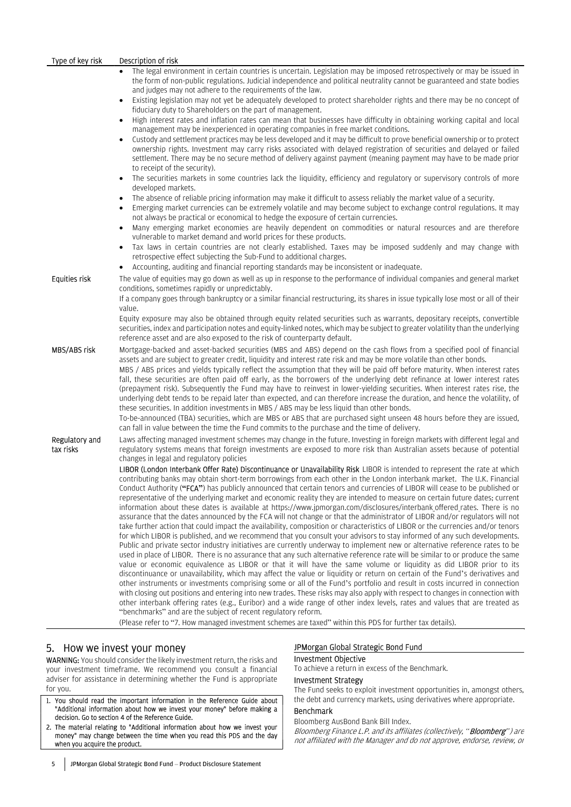| Type of key risk            | Description of risk                                                                                                                                                                                                                                                                                                                                                                                                                                                                                                                                                                                                                                                                                                                                                                                                                                                                                                                                                                                                                                                                                                                                                                                                                                                                                                                                                                                                                                                                                                                                                                                                                                                                                                                                                                                                                                                                                                                                                                                                             |
|-----------------------------|---------------------------------------------------------------------------------------------------------------------------------------------------------------------------------------------------------------------------------------------------------------------------------------------------------------------------------------------------------------------------------------------------------------------------------------------------------------------------------------------------------------------------------------------------------------------------------------------------------------------------------------------------------------------------------------------------------------------------------------------------------------------------------------------------------------------------------------------------------------------------------------------------------------------------------------------------------------------------------------------------------------------------------------------------------------------------------------------------------------------------------------------------------------------------------------------------------------------------------------------------------------------------------------------------------------------------------------------------------------------------------------------------------------------------------------------------------------------------------------------------------------------------------------------------------------------------------------------------------------------------------------------------------------------------------------------------------------------------------------------------------------------------------------------------------------------------------------------------------------------------------------------------------------------------------------------------------------------------------------------------------------------------------|
|                             | The legal environment in certain countries is uncertain. Legislation may be imposed retrospectively or may be issued in<br>the form of non-public regulations. Judicial independence and political neutrality cannot be guaranteed and state bodies                                                                                                                                                                                                                                                                                                                                                                                                                                                                                                                                                                                                                                                                                                                                                                                                                                                                                                                                                                                                                                                                                                                                                                                                                                                                                                                                                                                                                                                                                                                                                                                                                                                                                                                                                                             |
|                             | and judges may not adhere to the requirements of the law.<br>Existing legislation may not yet be adequately developed to protect shareholder rights and there may be no concept of<br>fiduciary duty to Shareholders on the part of management.                                                                                                                                                                                                                                                                                                                                                                                                                                                                                                                                                                                                                                                                                                                                                                                                                                                                                                                                                                                                                                                                                                                                                                                                                                                                                                                                                                                                                                                                                                                                                                                                                                                                                                                                                                                 |
|                             | High interest rates and inflation rates can mean that businesses have difficulty in obtaining working capital and local<br>management may be inexperienced in operating companies in free market conditions.                                                                                                                                                                                                                                                                                                                                                                                                                                                                                                                                                                                                                                                                                                                                                                                                                                                                                                                                                                                                                                                                                                                                                                                                                                                                                                                                                                                                                                                                                                                                                                                                                                                                                                                                                                                                                    |
|                             | Custody and settlement practices may be less developed and it may be difficult to prove beneficial ownership or to protect<br>ownership rights. Investment may carry risks associated with delayed registration of securities and delayed or failed<br>settlement. There may be no secure method of delivery against payment (meaning payment may have to be made prior<br>to receipt of the security).                                                                                                                                                                                                                                                                                                                                                                                                                                                                                                                                                                                                                                                                                                                                                                                                                                                                                                                                                                                                                                                                                                                                                                                                                                                                                                                                                                                                                                                                                                                                                                                                                         |
|                             | The securities markets in some countries lack the liquidity, efficiency and regulatory or supervisory controls of more<br>developed markets.                                                                                                                                                                                                                                                                                                                                                                                                                                                                                                                                                                                                                                                                                                                                                                                                                                                                                                                                                                                                                                                                                                                                                                                                                                                                                                                                                                                                                                                                                                                                                                                                                                                                                                                                                                                                                                                                                    |
|                             | The absence of reliable pricing information may make it difficult to assess reliably the market value of a security.<br>Emerging market currencies can be extremely volatile and may become subject to exchange control regulations. It may<br>not always be practical or economical to hedge the exposure of certain currencies.                                                                                                                                                                                                                                                                                                                                                                                                                                                                                                                                                                                                                                                                                                                                                                                                                                                                                                                                                                                                                                                                                                                                                                                                                                                                                                                                                                                                                                                                                                                                                                                                                                                                                               |
|                             | Many emerging market economies are heavily dependent on commodities or natural resources and are therefore<br>vulnerable to market demand and world prices for these products.                                                                                                                                                                                                                                                                                                                                                                                                                                                                                                                                                                                                                                                                                                                                                                                                                                                                                                                                                                                                                                                                                                                                                                                                                                                                                                                                                                                                                                                                                                                                                                                                                                                                                                                                                                                                                                                  |
|                             | Tax laws in certain countries are not clearly established. Taxes may be imposed suddenly and may change with<br>retrospective effect subjecting the Sub-Fund to additional charges.<br>Accounting, auditing and financial reporting standards may be inconsistent or inadequate.                                                                                                                                                                                                                                                                                                                                                                                                                                                                                                                                                                                                                                                                                                                                                                                                                                                                                                                                                                                                                                                                                                                                                                                                                                                                                                                                                                                                                                                                                                                                                                                                                                                                                                                                                |
| Equities risk               | The value of equities may go down as well as up in response to the performance of individual companies and general market<br>conditions, sometimes rapidly or unpredictably.                                                                                                                                                                                                                                                                                                                                                                                                                                                                                                                                                                                                                                                                                                                                                                                                                                                                                                                                                                                                                                                                                                                                                                                                                                                                                                                                                                                                                                                                                                                                                                                                                                                                                                                                                                                                                                                    |
|                             | If a company goes through bankruptcy or a similar financial restructuring, its shares in issue typically lose most or all of their<br>value.                                                                                                                                                                                                                                                                                                                                                                                                                                                                                                                                                                                                                                                                                                                                                                                                                                                                                                                                                                                                                                                                                                                                                                                                                                                                                                                                                                                                                                                                                                                                                                                                                                                                                                                                                                                                                                                                                    |
|                             | Equity exposure may also be obtained through equity related securities such as warrants, depositary receipts, convertible<br>securities, index and participation notes and equity-linked notes, which may be subject to greater volatility than the underlying<br>reference asset and are also exposed to the risk of counterparty default.                                                                                                                                                                                                                                                                                                                                                                                                                                                                                                                                                                                                                                                                                                                                                                                                                                                                                                                                                                                                                                                                                                                                                                                                                                                                                                                                                                                                                                                                                                                                                                                                                                                                                     |
| MBS/ABS risk                | Mortgage-backed and asset-backed securities (MBS and ABS) depend on the cash flows from a specified pool of financial<br>assets and are subject to greater credit, liquidity and interest rate risk and may be more volatile than other bonds.<br>MBS / ABS prices and yields typically reflect the assumption that they will be paid off before maturity. When interest rates<br>fall, these securities are often paid off early, as the borrowers of the underlying debt refinance at lower interest rates<br>(prepayment risk). Subsequently the Fund may have to reinvest in lower-yielding securities. When interest rates rise, the<br>underlying debt tends to be repaid later than expected, and can therefore increase the duration, and hence the volatility, of<br>these securities. In addition investments in MBS / ABS may be less liquid than other bonds.<br>To-be-announced (TBA) securities, which are MBS or ABS that are purchased sight unseen 48 hours before they are issued,<br>can fall in value between the time the Fund commits to the purchase and the time of delivery.                                                                                                                                                                                                                                                                                                                                                                                                                                                                                                                                                                                                                                                                                                                                                                                                                                                                                                                           |
| Regulatory and<br>tax risks | Laws affecting managed investment schemes may change in the future. Investing in foreign markets with different legal and<br>regulatory systems means that foreign investments are exposed to more risk than Australian assets because of potential<br>changes in legal and regulatory policies                                                                                                                                                                                                                                                                                                                                                                                                                                                                                                                                                                                                                                                                                                                                                                                                                                                                                                                                                                                                                                                                                                                                                                                                                                                                                                                                                                                                                                                                                                                                                                                                                                                                                                                                 |
|                             | LIBOR (London Interbank Offer Rate) Discontinuance or Unavailability Risk LIBOR is intended to represent the rate at which<br>contributing banks may obtain short-term borrowings from each other in the London interbank market. The U.K. Financial<br>Conduct Authority ("FCA") has publicly announced that certain tenors and currencies of LIBOR will cease to be published or<br>representative of the underlying market and economic reality they are intended to measure on certain future dates; current<br>information about these dates is available at https://www.jpmorgan.com/disclosures/interbank offered rates. There is no<br>assurance that the dates announced by the FCA will not change or that the administrator of LIBOR and/or regulators will not<br>take further action that could impact the availability, composition or characteristics of LIBOR or the currencies and/or tenors<br>for which LIBOR is published, and we recommend that you consult your advisors to stay informed of any such developments.<br>Public and private sector industry initiatives are currently underway to implement new or alternative reference rates to be<br>used in place of LIBOR. There is no assurance that any such alternative reference rate will be similar to or produce the same<br>value or economic equivalence as LIBOR or that it will have the same volume or liquidity as did LIBOR prior to its<br>discontinuance or unavailability, which may affect the value or liquidity or return on certain of the Fund's derivatives and<br>other instruments or investments comprising some or all of the Fund's portfolio and result in costs incurred in connection<br>with closing out positions and entering into new trades. These risks may also apply with respect to changes in connection with<br>other interbank offering rates (e.g., Euribor) and a wide range of other index levels, rates and values that are treated as<br>"benchmarks" and are the subject of recent regulatory reform. |
|                             | (Please refer to "7. How managed investment schemes are taxed" within this PDS for further tax details).                                                                                                                                                                                                                                                                                                                                                                                                                                                                                                                                                                                                                                                                                                                                                                                                                                                                                                                                                                                                                                                                                                                                                                                                                                                                                                                                                                                                                                                                                                                                                                                                                                                                                                                                                                                                                                                                                                                        |

# 5. How we invest your money

WARNING: You should consider the likely investment return, the risks and your investment timeframe. We recommend you consult a financial adviser for assistance in determining whether the Fund is appropriate for you.

- 1. You should read the important information in the Reference Guide about "Additional information about how we invest your money" before making a decision. Go to section 4 of the Reference Guide.
- 2. The material relating to "Additional information about how we invest your money" may change between the time when you read this PDS and the day when you acquire the product.

# JPMorgan Global Strategic Bond Fund

## Investment Objective

To achieve a return in excess of the Benchmark.

#### Investment Strategy

The Fund seeks to exploit investment opportunities in, amongst others, the debt and currency markets, using derivatives where appropriate.

# Benchmark

Bloomberg AusBond Bank Bill Index. Bloomberg Finance L.P. and its affiliates (collectively, "**Bloomberg**") are not affiliated with the Manager and do not approve, endorse, review, or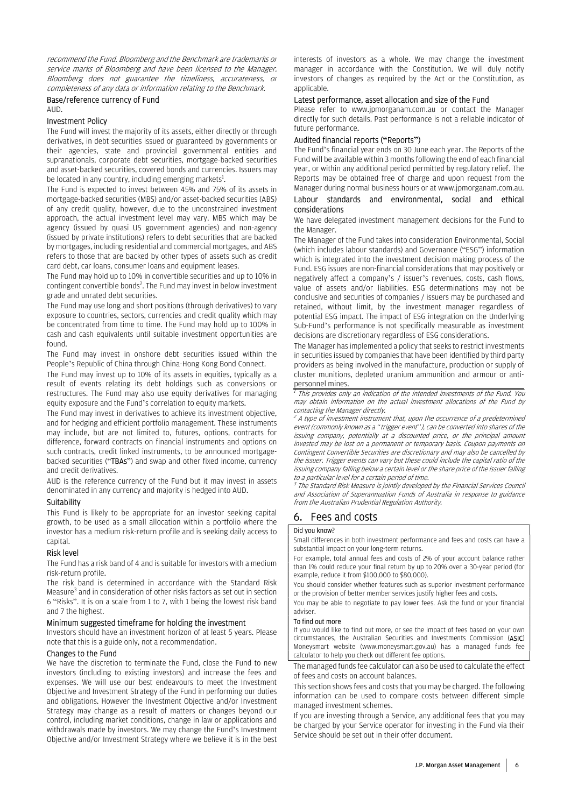recommend the Fund. Bloomberg and the Benchmark are trademarks or service marks of Bloomberg and have been licensed to the Manager. Bloomberg does not guarantee the timeliness, accurateness, or completeness of any data or information relating to the Benchmark.

#### Base/reference currency of Fund AUD.

#### Investment Policy

The Fund will invest the majority of its assets, either directly or through derivatives, in debt securities issued or guaranteed by governments or their agencies, state and provincial governmental entities and supranationals, corporate debt securities, mortgage-backed securities and asset-backed securities, covered bonds and currencies. Issuers may be located in any country, including emerging markets<sup>1</sup>.

The Fund is expected to invest between 45% and 75% of its assets in mortgage-backed securities (MBS) and/or asset-backed securities (ABS) of any credit quality, however, due to the unconstrained investment approach, the actual investment level may vary. MBS which may be agency (issued by quasi US government agencies) and non-agency (issued by private institutions) refers to debt securities that are backed by mortgages, including residential and commercial mortgages, and ABS refers to those that are backed by other types of assets such as credit card debt, car loans, consumer loans and equipment leases.

The Fund may hold up to 10% in convertible securities and up to 10% in contingent convertible bonds<sup>2</sup>. The Fund may invest in below investment grade and unrated debt securities.

The Fund may use long and short positions (through derivatives) to vary exposure to countries, sectors, currencies and credit quality which may be concentrated from time to time. The Fund may hold up to 100% in cash and cash equivalents until suitable investment opportunities are found.

The Fund may invest in onshore debt securities issued within the People's Republic of China through China-Hong Kong Bond Connect.

The Fund may invest up to 10% of its assets in equities, typically as a result of events relating its debt holdings such as conversions or restructures. The Fund may also use equity derivatives for managing equity exposure and the Fund's correlation to equity markets.

The Fund may invest in derivatives to achieve its investment objective, and for hedging and efficient portfolio management. These instruments may include, but are not limited to, futures, options, contracts for difference, forward contracts on financial instruments and options on such contracts, credit linked instruments, to be announced mortgagebacked securities ("TBAs") and swap and other fixed income, currency and credit derivatives.

AUD is the reference currency of the Fund but it may invest in assets denominated in any currency and majority is hedged into AUD.

#### **Suitability**

This Fund is likely to be appropriate for an investor seeking capital growth, to be used as a small allocation within a portfolio where the investor has a medium risk-return profile and is seeking daily access to capital.

#### Risk level

The Fund has a risk band of 4 and is suitable for investors with a medium risk-return profile.

The risk band is determined in accordance with the Standard Risk Measure<sup>3</sup> and in consideration of other risks factors as set out in section 6 "Risks". It is on a scale from 1 to 7, with 1 being the lowest risk band and 7 the highest.

# Minimum suggested timeframe for holding the investment

Investors should have an investment horizon of at least 5 years. Please note that this is a guide only, not a recommendation.

# Changes to the Fund

We have the discretion to terminate the Fund, close the Fund to new investors (including to existing investors) and increase the fees and expenses. We will use our best endeavours to meet the Investment Objective and Investment Strategy of the Fund in performing our duties and obligations. However the Investment Objective and/or Investment Strategy may change as a result of matters or changes beyond our control, including market conditions, change in law or applications and withdrawals made by investors. We may change the Fund's Investment Objective and/or Investment Strategy where we believe it is in the best

interests of investors as a whole. We may change the investment manager in accordance with the Constitution. We will duly notify investors of changes as required by the Act or the Constitution, as applicable.

# Latest performance, asset allocation and size of the Fund

Please refer to www.jpmorganam.com.au or contact the Manager directly for such details. Past performance is not a reliable indicator of future performance.

## Audited financial reports ("Reports")

The Fund's financial year ends on 30 June each year. The Reports of the Fund will be available within 3 months following the end of each financial year, or within any additional period permitted by regulatory relief. The Reports may be obtained free of charge and upon request from the Manager during normal business hours or at www.jpmorganam.com.au.

# Labour standards and environmental, social and ethical considerations

We have delegated investment management decisions for the Fund to the Manager.

The Manager of the Fund takes into consideration Environmental, Social (which includes labour standards) and Governance ("ESG") information which is integrated into the investment decision making process of the Fund. ESG issues are non-financial considerations that may positively or negatively affect a company's / issuer's revenues, costs, cash flows, value of assets and/or liabilities. ESG determinations may not be conclusive and securities of companies / issuers may be purchased and retained, without limit, by the investment manager regardless of potential ESG impact. The impact of ESG integration on the Underlying Sub-Fund's performance is not specifically measurable as investment decisions are discretionary regardless of ESG considerations.

The Manager has implemented a policy that seeks to restrict investments in securities issued by companies that have been identified by third party providers as being involved in the manufacture, production or supply of cluster munitions, depleted uranium ammunition and armour or antipersonnel mines.

 This provides only an indication of the intended investments of the Fund. You may obtain information on the actual investment allocations of the Fund by

contacting the Manager directly.<br><sup>2</sup> A type of investment instrument that, upon the occurrence of a predetermined event (commonly known as a "trigger event"), can be converted into shares of the issuing company, potentially at a discounted price, or the principal amount invested may be lost on a permanent or temporary basis. Coupon payments on Contingent Convertible Securities are discretionary and may also be cancelled by the issuer. Trigger events can vary but these could include the capital ratio of the issuing company falling below a certain level or the share price of the issuer falling to a particular level for a certain period of time.

<sup>3</sup> The Standard Risk Measure is jointly developed by the Financial Services Council and Association of Superannuation Funds of Australia in response to guidance from the Australian Prudential Regulation Authority.

# 6. Fees and costs

# Did you know?

Small differences in both investment performance and fees and costs can have a substantial impact on your long-term returns.

For example, total annual fees and costs of 2% of your account balance rather than 1% could reduce your final return by up to 20% over a 30-year period (for example, reduce it from \$100,000 to \$80,000).

You should consider whether features such as superior investment performance or the provision of better member services justify higher fees and costs.

You may be able to negotiate to pay lower fees. Ask the fund or your financial adviser.

#### To find out more

If you would like to find out more, or see the impact of fees based on your own circumstances, the Australian Securities and Investments Commission (ASIC) Moneysmart website (www.moneysmart.gov.au) has a managed funds fee calculator to help you check out different fee options.

The managed funds fee calculator can also be used to calculate the effect of fees and costs on account balances.

This section shows fees and costs that you may be charged. The following information can be used to compare costs between different simple managed investment schemes.

If you are investing through a Service, any additional fees that you may be charged by your Service operator for investing in the Fund via their Service should be set out in their offer document.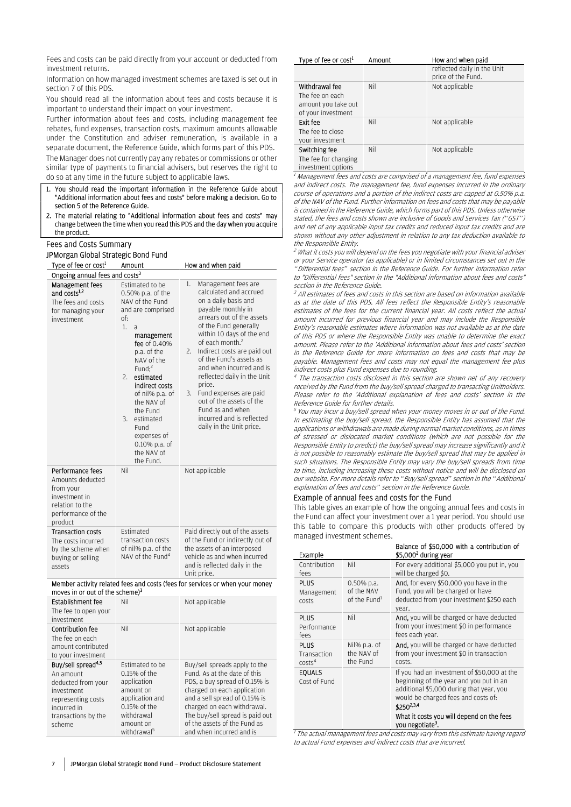Fees and costs can be paid directly from your account or deducted from investment returns.

Information on how managed investment schemes are taxed is set out in section 7 of this PDS.

You should read all the information about fees and costs because it is important to understand their impact on your investment.

Further information about fees and costs, including management fee rebates, fund expenses, transaction costs, maximum amounts allowable under the Constitution and adviser remuneration, is available in a separate document, the Reference Guide, which forms part of this PDS.

The Manager does not currently pay any rebates or commissions or other similar type of payments to financial advisers, but reserves the right to do so at any time in the future subject to applicable laws.

- 1. You should read the important information in the Reference Guide about "Additional information about fees and costs" before making a decision. Go to section 5 of the Reference Guide.
- 2. The material relating to "Additional information about fees and costs" may change between the time when you read this PDS and the day when you acquire the product.

#### Fees and Costs Summary

#### JPMorgan Global Strategic Bond Fund

| Type of fee or cost <sup>1</sup>                                                                                       | Amount                                                                                                                                                                                                                                                                                                                                                                  | How and when paid                                                                                                                                                                                                                                                                                                                                                                                                                                                                                 |
|------------------------------------------------------------------------------------------------------------------------|-------------------------------------------------------------------------------------------------------------------------------------------------------------------------------------------------------------------------------------------------------------------------------------------------------------------------------------------------------------------------|---------------------------------------------------------------------------------------------------------------------------------------------------------------------------------------------------------------------------------------------------------------------------------------------------------------------------------------------------------------------------------------------------------------------------------------------------------------------------------------------------|
| Ongoing annual fees and costs <sup>3</sup>                                                                             |                                                                                                                                                                                                                                                                                                                                                                         |                                                                                                                                                                                                                                                                                                                                                                                                                                                                                                   |
| <b>Management fees</b><br>and costs <sup>1,2</sup><br>The fees and costs<br>for managing your<br>investment            | Estimated to be<br>0.50% p.a. of the<br>NAV of the Fund<br>and are comprised<br>of:<br>1.<br>a<br>management<br>fee of 0.40%<br>p.a. of the<br>NAV of the<br>Fund: $2$<br>estimated<br>$\mathcal{P}_{\mathcal{P}}$<br>indirect costs<br>of nil% p.a. of<br>the NAV of<br>the Fund<br>estimated<br>3.<br>Fund<br>expenses of<br>0.10% p.a. of<br>the NAV of<br>the Fund. | Management fees are<br>1.<br>calculated and accrued<br>on a daily basis and<br>payable monthly in<br>arrears out of the assets<br>of the Fund generally<br>within 10 days of the end<br>of each month. <sup>2</sup><br>Indirect costs are paid out<br>2.<br>of the Fund's assets as<br>and when incurred and is<br>reflected daily in the Unit<br>price.<br>Fund expenses are paid<br>3.<br>out of the assets of the<br>Fund as and when<br>incurred and is reflected<br>daily in the Unit price. |
| Performance fees<br>Amounts deducted<br>from your<br>investment in<br>relation to the<br>performance of the<br>product | Nil                                                                                                                                                                                                                                                                                                                                                                     | Not applicable                                                                                                                                                                                                                                                                                                                                                                                                                                                                                    |
| <b>Transaction costs</b><br>The costs incurred<br>by the scheme when<br>buying or selling<br>assets                    | <b>Fstimated</b><br>transaction costs<br>of nil% p.a. of the<br>NAV of the Fund <sup>4</sup>                                                                                                                                                                                                                                                                            | Paid directly out of the assets<br>of the Fund or indirectly out of<br>the assets of an interposed<br>vehicle as and when incurred<br>and is reflected daily in the<br>Unit price.                                                                                                                                                                                                                                                                                                                |

#### Member activity related fees and costs (fees for services or when your money moves in or out of the scheme)<sup>3</sup>

| Establishment fee                                                                                                                                     | Nil                                                                                                                                                           | Not applicable                                                                                                                                                                                                                                                                               |
|-------------------------------------------------------------------------------------------------------------------------------------------------------|---------------------------------------------------------------------------------------------------------------------------------------------------------------|----------------------------------------------------------------------------------------------------------------------------------------------------------------------------------------------------------------------------------------------------------------------------------------------|
| The fee to open your<br>investment                                                                                                                    |                                                                                                                                                               |                                                                                                                                                                                                                                                                                              |
| Contribution fee<br>The fee on each<br>amount contributed<br>to your investment                                                                       | Nil                                                                                                                                                           | Not applicable                                                                                                                                                                                                                                                                               |
| Buy/sell spread <sup>4,5</sup><br>An amount<br>deducted from your<br>investment<br>representing costs<br>incurred in<br>transactions by the<br>scheme | <b>Estimated to be</b><br>$0.15%$ of the<br>application<br>amount on<br>application and<br>0.15% of the<br>withdrawal<br>amount on<br>withdrawal <sup>5</sup> | Buy/sell spreads apply to the<br>Fund. As at the date of this<br>PDS, a buy spread of 0.15% is<br>charged on each application<br>and a sell spread of 0.15% is<br>charged on each withdrawal.<br>The buy/sell spread is paid out<br>of the assets of the Fund as<br>and when incurred and is |

| Type of fee or cost <sup>1</sup>                                               | Amount | How and when paid                                 |
|--------------------------------------------------------------------------------|--------|---------------------------------------------------|
|                                                                                |        | reflected daily in the Unit<br>price of the Fund. |
| Withdrawal fee<br>The fee on each<br>amount you take out<br>of your investment | Nil    | Not applicable                                    |
| Exit fee<br>The fee to close<br>your investment                                | Nil    | Not applicable                                    |
| Switching fee<br>The fee for changing<br>investment options                    | Nil    | Not applicable                                    |

<sup>1</sup> Management fees and costs are comprised of a management fee, fund expenses and indirect costs. The management fee, fund expenses incurred in the ordinary course of operations and a portion of the indirect costs are capped at 0.50% p.a. of the NAV of the Fund. Further information on fees and costs that may be payable is contained in the Reference Guide, which forms part of this PDS. Unless otherwise stated, the fees and costs shown are inclusive of Goods and Services Tax ("GST") and net of any applicable input tax credits and reduced input tax credits and are shown without any other adjustment in relation to any tax deduction available to

the Responsible Entity.<br><sup>2</sup> What it costs you will depend on the fees you negotiate with your financial adviser or your Service operator (as applicable) or in limited circumstances set out in the "Differential fees" section in the Reference Guide. For further information refer to "Differential fees" section in the "Additional information about fees and costs" section in the Reference Guide.

<sup>3</sup> All estimates of fees and costs in this section are based on information available as at the date of this PDS. All fees reflect the Responsible Entity's reasonable estimates of the fees for the current financial year. All costs reflect the actual amount incurred for previous financial year and may include the Responsible Entity's reasonable estimates where information was not available as at the date of this PDS or where the Responsible Entity was unable to determine the exact amount. Please refer to the 'Additional information about fees and costs' section in the Reference Guide for more information on fees and costs that may be payable. Management fees and costs may not equal the management fee plus indirect costs plus Fund expenses due to rounding.

4 The transaction costs disclosed in this section are shown net of any recovery received by the Fund from the buy/sell spread charged to transacting Unitholders. Please refer to the 'Additional explanation of fees and costs' section in the Reference Guide for further details.

<sup>5</sup>You may incur a buy/sell spread when your money moves in or out of the Fund. In estimating the buy/sell spread, the Responsible Entity has assumed that the applications or withdrawals are made during normal market conditions, as in times of stressed or dislocated market conditions (which are not possible for the Responsible Entity to predict) the buy/sell spread may increase significantly and it is not possible to reasonably estimate the buy/sell spread that may be applied in such situations. The Responsible Entity may vary the buy/sell spreads from time to time, including increasing these costs without notice and will be disclosed on our website. For more details refer to "Buy/sell spread" section in the "Additional explanation of fees and costs" section in the Reference Guide.

## Example of annual fees and costs for the Fund

This table gives an example of how the ongoing annual fees and costs in the Fund can affect your investment over a 1 year period. You should use this table to compare this products with other products offered by managed investment schemes.

| Example                                          |                                                         | Balance of \$50,000 with a contribution of<br>$$5,0002$ during year                                                                                                                                                                                                  |
|--------------------------------------------------|---------------------------------------------------------|----------------------------------------------------------------------------------------------------------------------------------------------------------------------------------------------------------------------------------------------------------------------|
| Contribution<br>fees                             | Nil                                                     | For every additional \$5,000 you put in, you<br>will be charged \$0.                                                                                                                                                                                                 |
| PLUS<br>Management<br>costs                      | $0.50\%$ p.a.<br>of the NAV<br>of the Fund <sup>1</sup> | <b>And.</b> for every \$50,000 you have in the<br>Fund, you will be charged or have<br>deducted from your investment \$250 each<br>year.                                                                                                                             |
| PLUS<br>Performance<br>fees                      | Nil                                                     | And, you will be charged or have deducted<br>from your investment \$0 in performance<br>fees each year.                                                                                                                                                              |
| <b>PLUS</b><br>Transaction<br>costs <sup>4</sup> | Nil% p.a. of<br>the NAV of<br>the Fund                  | And, you will be charged or have deducted<br>from your investment \$0 in transaction<br>costs.                                                                                                                                                                       |
| <b>EOUALS</b><br>Cost of Fund                    |                                                         | If you had an investment of \$50,000 at the<br>beginning of the year and you put in an<br>additional \$5,000 during that year, you<br>would be charged fees and costs of:<br>\$2502,3,4<br>What it costs you will depend on the fees<br>you negotiate <sup>3</sup> . |

<sup>1</sup> The actual management fees and costs may vary from this estimate having regard to actual Fund expenses and indirect costs that are incurred.